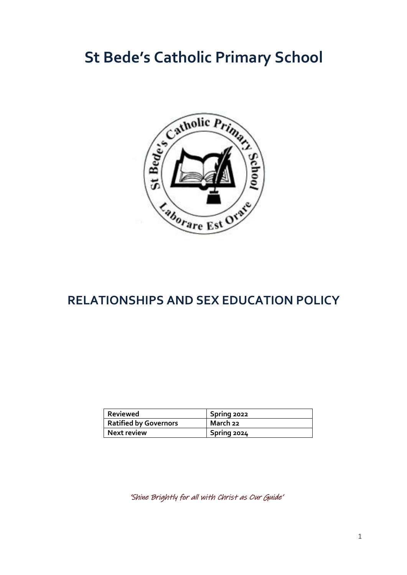# **St Bede's Catholic Primary School**



# **RELATIONSHIPS AND SEX EDUCATION POLICY**

| Reviewed              | Spring 2022 |
|-----------------------|-------------|
| Ratified by Governors | March 22    |
| Next review           | Spring 2024 |

'Shine Brightly for all with Christ as Our Guide'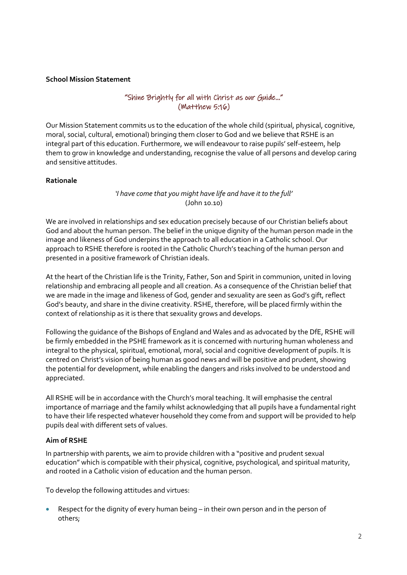#### **School Mission Statement**

#### "Shine Brightly for all with Christ as our Guide…" (Matthew 5:16)

Our Mission Statement commits us to the education of the whole child (spiritual, physical, cognitive, moral, social, cultural, emotional) bringing them closer to God and we believe that RSHE is an integral part of this education. Furthermore, we will endeavour to raise pupils' self-esteem, help them to grow in knowledge and understanding, recognise the value of all persons and develop caring and sensitive attitudes.

#### **Rationale**

*'I have come that you might have life and have it to the full'* (John 10.10)

We are involved in relationships and sex education precisely because of our Christian beliefs about God and about the human person. The belief in the unique dignity of the human person made in the image and likeness of God underpins the approach to all education in a Catholic school. Our approach to RSHE therefore is rooted in the Catholic Church's teaching of the human person and presented in a positive framework of Christian ideals.

At the heart of the Christian life is the Trinity, Father, Son and Spirit in communion, united in loving relationship and embracing all people and all creation. As a consequence of the Christian belief that we are made in the image and likeness of God, gender and sexuality are seen as God's gift, reflect God's beauty, and share in the divine creativity. RSHE, therefore, will be placed firmly within the context of relationship as it is there that sexuality grows and develops.

Following the guidance of the Bishops of England and Wales and as advocated by the DfE, RSHE will be firmly embedded in the PSHE framework as it is concerned with nurturing human wholeness and integral to the physical, spiritual, emotional, moral, social and cognitive development of pupils. It is centred on Christ's vision of being human as good news and will be positive and prudent, showing the potential for development, while enabling the dangers and risks involved to be understood and appreciated.

All RSHE will be in accordance with the Church's moral teaching. It will emphasise the central importance of marriage and the family whilst acknowledging that all pupils have a fundamental right to have their life respected whatever household they come from and support will be provided to help pupils deal with different sets of values.

#### **Aim of RSHE**

In partnership with parents, we aim to provide children with a "positive and prudent sexual education" which is compatible with their physical, cognitive, psychological, and spiritual maturity, and rooted in a Catholic vision of education and the human person.

To develop the following attitudes and virtues:

 Respect for the dignity of every human being – in their own person and in the person of others;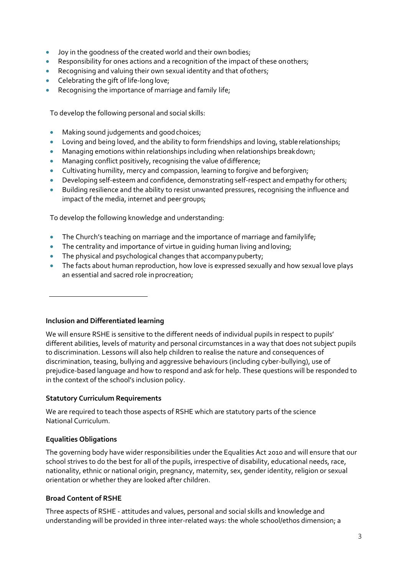- Joy in the goodness of the created world and their own bodies;
- Responsibility for ones actions and a recognition of the impact of these onothers;
- Recognising and valuing their own sexual identity and that ofothers;
- Celebrating the gift of life-long love;
- Recognising the importance of marriage and family life;

To develop the following personal and social skills:

- Making sound judgements and good choices;
- Loving and being loved, and the ability to form friendships and loving, stable relationships;
- Managing emotions within relationships including when relationships breakdown;
- Managing conflict positively, recognising the value ofdifference;
- Cultivating humility, mercy and compassion, learning to forgive and beforgiven;
- Developing self-esteem and confidence, demonstrating self-respect and empathy for others;
- Building resilience and the ability to resist unwanted pressures, recognising the influence and impact of the media, internet and peer groups;

To develop the following knowledge and understanding:

- The Church's teaching on marriage and the importance of marriage and familylife;
- The centrality and importance of virtue in quiding human living and loving;
- The physical and psychological changes that accompany puberty;
- The facts about human reproduction, how love is expressed sexually and how sexual love plays an essential and sacred role inprocreation;

#### **Inclusion and Differentiated learning**

We will ensure RSHE is sensitive to the different needs of individual pupils in respect to pupils' different abilities, levels of maturity and personal circumstances in a way that does not subject pupils to discrimination. Lessons will also help children to realise the nature and consequences of discrimination, teasing, bullying and aggressive behaviours (including cyber-bullying), use of prejudice-based language and how to respond and ask for help. These questions will be responded to in the context of the school's inclusion policy.

#### **Statutory Curriculum Requirements**

We are required to teach those aspects of RSHE which are statutory parts of the science National Curriculum.

#### **Equalities Obligations**

The governing body have wider responsibilities under the Equalities Act 2010 and will ensure that our school strives to do the best for all of the pupils, irrespective of disability, educational needs, race, nationality, ethnic or national origin, pregnancy, maternity, sex, gender identity, religion or sexual orientation or whether they are looked after children.

#### **Broad Content of RSHE**

Three aspects of RSHE - attitudes and values, personal and social skills and knowledge and understanding will be provided in three inter-related ways: the whole school/ethos dimension; a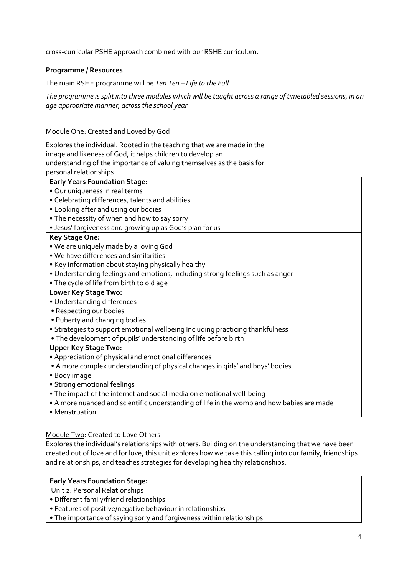cross-curricular PSHE approach combined with our RSHE curriculum.

#### **Programme / Resources**

The main RSHE programme will be *Ten Ten – Life to the Full*

*The programme is split into three modules which will be taught across a range of timetabled sessions, in an age appropriate manner, across the school year.*

#### Module One: Created and Loved by God

Explores the individual. Rooted in the teaching that we are made in the image and likeness of God, it helps children to develop an understanding of the importance of valuing themselves as the basis for personal relationships

# **Early Years Foundation Stage:**

- Our uniqueness in real terms
- Celebrating differences, talents and abilities
- Looking after and using our bodies
- The necessity of when and how to say sorry
- Jesus' forgiveness and growing up as God's plan for us

#### **Key Stage One:**

- We are uniquely made by a loving God
- We have differences and similarities
- Key information about staying physically healthy
- Understanding feelings and emotions, including strong feelings such as anger
- The cycle of life from birth to old age

#### **Lower Key Stage Two:**

- Understanding differences
- Respecting our bodies
- Puberty and changing bodies
- Strategies to support emotional wellbeing Including practicing thankfulness
- The development of pupils' understanding of life before birth

#### **Upper Key Stage Two:**

- Appreciation of physical and emotional differences
- A more complex understanding of physical changes in girls' and boys' bodies
- Body image
- Strong emotional feelings
- The impact of the internet and social media on emotional well-being
- A more nuanced and scientific understanding of life in the womb and how babies are made
- Menstruation

#### Module Two: Created to Love Others

Explores the individual's relationships with others. Building on the understanding that we have been created out of love and for love, this unit explores how we take this calling into our family, friendships and relationships, and teaches strategies for developing healthy relationships.

#### **Early Years Foundation Stage:**

Unit 2: Personal Relationships

- Different family/friend relationships
- Features of positive/negative behaviour in relationships
- The importance of saying sorry and forgiveness within relationships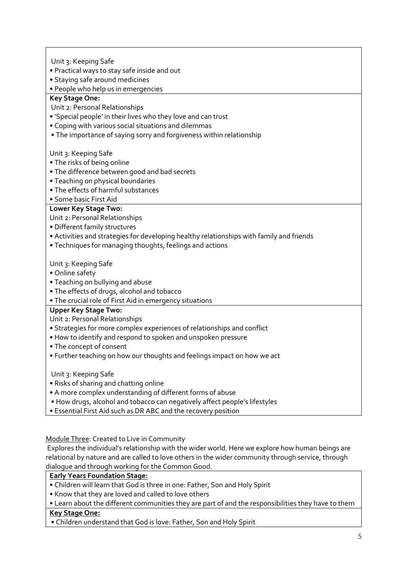Unit 3: Keeping Safe

- Practical ways to stay safe inside and out
- Staying safe around medicines
- People who help us in emergencies

### **Key Stage One:**

- Unit 2: Personal Relationships
- 'Special people' in their lives who they love and can trust
- Coping with various social situations and dilemmas
- The importance of saying sorry and forgiveness within relationship

#### Unit 3: Keeping Safe

- The risks of being online
- The difference between good and bad secrets
- Teaching on physical boundaries
- The effects of harmful substances
- Some basic First Aid

#### **Lower Key Stage Two:**

Unit 2: Personal Relationships

- Different family structures
- Activities and strategies for developing healthy relationships with family and friends
- Techniques for managing thoughts, feelings and actions

#### Unit 3: Keeping Safe

• Online safety

- Teaching on bullying and abuse
- The effects of drugs, alcohol and tobacco
- The crucial role of First Aid in emergency situations

## **Upper Key Stage Two:**

Unit 2: Personal Relationships

- Strategies for more complex experiences of relationships and conflict
- How to identify and respond to spoken and unspoken pressure
- The concept of consent
- Further teaching on how our thoughts and feelings impact on how we act

Unit 3: Keeping Safe

- Risks of sharing and chatting online
- A more complex understanding of different forms of abuse
- How drugs, alcohol and tobacco can negatively affect people's lifestyles

• Essential First Aid such as DR ABC and the recovery position

#### Module Three: Created to Live in Community

Explores the individual's relationship with the wider world. Here we explore how human beings are relational by nature and are called to love others in the wider community through service, through dialogue and through working for the Common Good.

#### **Early Years Foundation Stage:**

- Children will learn that God is three in one: Father, Son and Holy Spirit
- Know that they are loved and called to love others
- Learn about the different communities they are part of and the responsibilities they have to them

#### **Key Stage One:**

• Children understand that God is love: Father, Son and Holy Spirit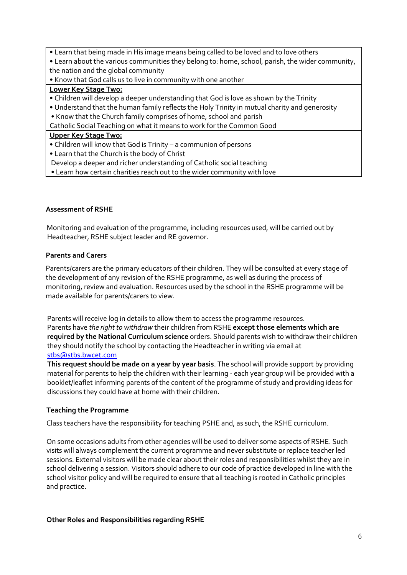- Learn that being made in His image means being called to be loved and to love others
- Learn about the various communities they belong to: home, school, parish, the wider community, the nation and the global community
- Know that God calls us to live in community with one another

#### **Lower Key Stage Two:**

- Children will develop a deeper understanding that God is love as shown by the Trinity
- Understand that the human family reflects the Holy Trinity in mutual charity and generosity
- Know that the Church family comprises of home, school and parish

Catholic Social Teaching on what it means to work for the Common Good

#### **Upper Key Stage Two:**

- Children will know that God is Trinity a communion of persons
- Learn that the Church is the body of Christ

Develop a deeper and richer understanding of Catholic social teaching

• Learn how certain charities reach out to the wider community with love

#### **Assessment of RSHE**

 Monitoring and evaluation of the programme, including resources used, will be carried out by Headteacher, RSHE subject leader and RE governor.

#### **Parents and Carers**

Parents/carers are the primary educators of their children. They will be consulted at every stage of the development of any revision of the RSHE programme, as well as during the process of monitoring, review and evaluation. Resources used by the school in the RSHE programme will be made available for parents/carers to view.

Parents will receive log in details to allow them to access the programme resources. Parents have *the right to withdraw* their children from RSHE **except those elements which are required by the National Curriculum science** orders. Should parents wish to withdraw their children they should notify the school by contacting the Headteacher in writing via email at [stbs@stbs.bwcet.com](mailto:stbs@stbs.bwcet.com)

**This request should be made on a year by year basis**. The school will provide support by providing material for parents to help the children with their learning - each year group will be provided with a booklet/leaflet informing parents of the content of the programme of study and providing ideas for discussions they could have at home with their children.

#### **Teaching the Programme**

Class teachers have the responsibility for teaching PSHE and, as such, the RSHE curriculum.

On some occasions adults from other agencies will be used to deliver some aspects of RSHE. Such visits will always complement the current programme and never substitute or replace teacher led sessions. External visitors will be made clear about their roles and responsibilities whilst they are in school delivering a session. Visitors should adhere to our code of practice developed in line with the school visitor policy and will be required to ensure that all teaching is rooted in Catholic principles and practice.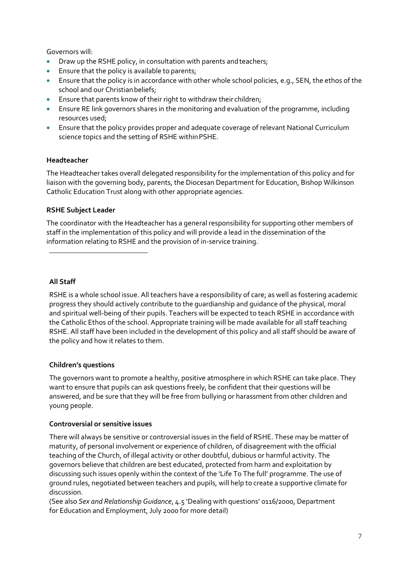Governors will:

- Draw up the RSHE policy, in consultation with parents andteachers;
- Ensure that the policy is available to parents;
- Ensure that the policy is in accordance with other whole school policies, e.g., SEN, the ethos of the school and our Christian beliefs;
- Ensure that parents know of their right to withdraw their children;
- Ensure RE link governors shares in the monitoring and evaluation of the programme, including resources used;
- Ensure that the policy provides proper and adequate coverage of relevant National Curriculum science topics and the setting of RSHE withinPSHE.

#### **Headteacher**

The Headteacher takes overall delegated responsibility for the implementation of this policy and for liaison with the governing body, parents, the Diocesan Department for Education, Bishop Wilkinson Catholic Education Trust along with other appropriate agencies.

#### **RSHE Subject Leader**

The coordinator with the Headteacher has a general responsibility for supporting other members of staff in the implementation of this policy and will provide a lead in the dissemination of the information relating to RSHE and the provision of in-service training.

**All Staff**

RSHE is a whole school issue. All teachers have a responsibility of care; as well as fostering academic progress they should actively contribute to the guardianship and guidance of the physical, moral and spiritual well-being of their pupils. Teachers will be expected to teach RSHE in accordance with the Catholic Ethos of the school. Appropriate training will be made available for all staff teaching RSHE. All staff have been included in the development of this policy and all staff should be aware of the policy and how it relates to them.

#### **Children's questions**

The governors want to promote a healthy, positive atmosphere in which RSHE can take place. They want to ensure that pupils can ask questions freely, be confident that their questions will be answered, and be sure that they will be free from bullying or harassment from other children and young people.

#### **Controversial or sensitive issues**

There will always be sensitive or controversial issues in the field of RSHE. These may be matter of maturity, of personal involvement or experience of children, of disagreement with the official teaching of the Church, of illegal activity or other doubtful, dubious or harmful activity. The governors believe that children are best educated, protected from harm and exploitation by discussing such issues openly within the context of the 'Life To The full' programme. The use of ground rules, negotiated between teachers and pupils, will help to create a supportive climate for discussion.

(See also *Sex and Relationship Guidance*, 4.5 'Dealing with questions' 0116/2000, Department for Education and Employment, July 2000 for more detail)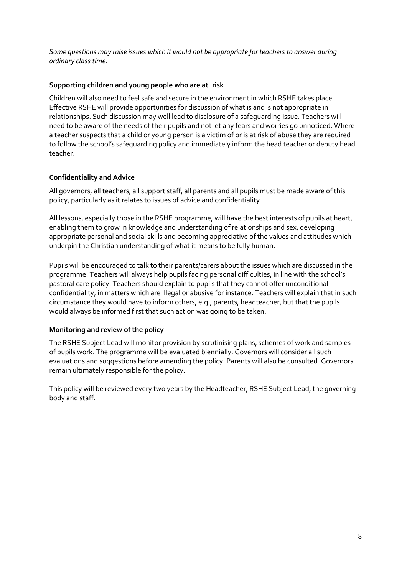*Some questions may raise issues which it would not be appropriate for teachers to answer during ordinary class time.*

#### **Supporting children and young people who are at risk**

Children will also need to feel safe and secure in the environment in which RSHE takes place. Effective RSHE will provide opportunities for discussion of what is and is not appropriate in relationships. Such discussion may well lead to disclosure of a safeguarding issue. Teachers will need to be aware of the needs of their pupils and not let any fears and worries go unnoticed. Where a teacher suspects that a child or young person is a victim of or is at risk of abuse they are required to follow the school's safeguarding policy and immediately inform the head teacher or deputy head teacher.

#### **Confidentiality and Advice**

All governors, all teachers, all support staff, all parents and all pupils must be made aware of this policy, particularly as it relates to issues of advice and confidentiality.

All lessons, especially those in the RSHE programme, will have the best interests of pupils at heart, enabling them to grow in knowledge and understanding of relationships and sex, developing appropriate personal and social skills and becoming appreciative of the values and attitudes which underpin the Christian understanding of what it means to be fully human.

Pupils will be encouraged to talk to their parents/carers about the issues which are discussed in the programme. Teachers will always help pupils facing personal difficulties, in line with the school's pastoral care policy. Teachers should explain to pupils that they cannot offer unconditional confidentiality, in matters which are illegal or abusive for instance. Teachers will explain that in such circumstance they would have to inform others, e.g., parents, headteacher, but that the pupils would always be informed first that such action was going to be taken.

#### **Monitoring and review of the policy**

The RSHE Subject Lead will monitor provision by scrutinising plans, schemes of work and samples of pupils work. The programme will be evaluated biennially. Governors will consider all such evaluations and suggestions before amending the policy. Parents will also be consulted. Governors remain ultimately responsible for the policy.

This policy will be reviewed every two years by the Headteacher, RSHE Subject Lead, the governing body and staff.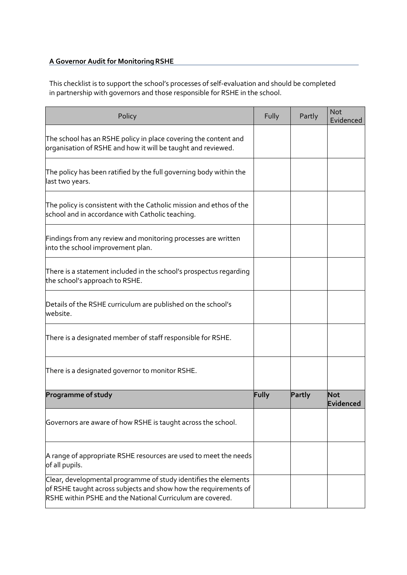# **A Governor Audit for MonitoringRSHE**

This checklist is to support the school's processes of self-evaluation and should be completed in partnership with governors and those responsible for RSHE in the school.

| Policy                                                                                                                                                                                          | Fully | Partly | <b>Not</b><br>Evidenced |
|-------------------------------------------------------------------------------------------------------------------------------------------------------------------------------------------------|-------|--------|-------------------------|
| The school has an RSHE policy in place covering the content and<br>organisation of RSHE and how it will be taught and reviewed.                                                                 |       |        |                         |
| The policy has been ratified by the full governing body within the $\overline{\phantom{a}}$<br>last two years.                                                                                  |       |        |                         |
| The policy is consistent with the Catholic mission and ethos of the<br>school and in accordance with Catholic teaching.                                                                         |       |        |                         |
| Findings from any review and monitoring processes are written<br>into the school improvement plan.                                                                                              |       |        |                         |
| There is a statement included in the school's prospectus regarding<br>the school's approach to RSHE.                                                                                            |       |        |                         |
| Details of the RSHE curriculum are published on the school's<br>website.                                                                                                                        |       |        |                         |
| There is a designated member of staff responsible for RSHE.                                                                                                                                     |       |        |                         |
| There is a designated governor to monitor RSHE.                                                                                                                                                 |       |        |                         |
| <b>Programme of study</b>                                                                                                                                                                       | Fully | Partly | <b>Not</b><br>Evidenced |
| Governors are aware of how RSHE is taught across the school.                                                                                                                                    |       |        |                         |
| A range of appropriate RSHE resources are used to meet the needs<br>of all pupils.                                                                                                              |       |        |                         |
| Clear, developmental programme of study identifies the elements<br>of RSHE taught across subjects and show how the requirements of<br>RSHE within PSHE and the National Curriculum are covered. |       |        |                         |